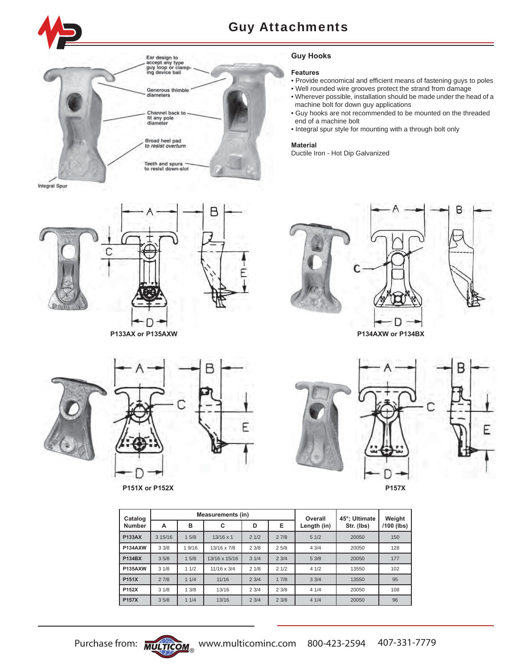

Integral Spur



**P133AX or P135AXW P134AXW or P134BX**

### **Guy Hooks**

### **Features**

- Provide economical and efficient means of fastening guys to poles
- Well rounded wire grooves protect the strand from damage
- Wherever possible, installation should be made under the head of a machine bolt for down guy applications
- Guy hooks are not recommended to be mounted on the threaded end of a machine bolt
- Integral spur style for mounting with a through bolt only

#### **Material**

Ductile Iron - Hot Dip Galvanized







**P151X or P152X P157X**





| Catalog        |         |       | <b>Measurements (in)</b> |      |      | Overall     | 45°: Ultimate | Weight       |
|----------------|---------|-------|--------------------------|------|------|-------------|---------------|--------------|
| <b>Number</b>  | A       | в     | C                        | D    | Е    | Length (in) | Str. (lbs)    | $/100$ (lbs) |
| <b>P133AX</b>  | 3 15/16 | 1.5/8 | $13/16 \times 1$         | 21/2 | 27/8 | 51/2        | 20050         | 150          |
| <b>P134AXW</b> | 33/8    | 19/16 | 13/16 x 7/8              | 23/8 | 25/8 | 43/4        | 20050         | 128          |
| <b>P134BX</b>  | 35/8    | 15/8  | 13/16 x 15/16            | 31/4 | 23/4 | 5.3/8       | 20050         | 177          |
| <b>P135AXW</b> | 31/8    | 11/2  | $11/16 \times 3/4$       | 21/8 | 21/2 | 41/2        | 13550         | 102          |
| P151X          | 27/8    | 11/4  | 11/16                    | 23/4 | 17/8 | 3.3/4       | 13550         | 95           |
| P152X          | 31/8    | 13/8  | 13/16                    | 23/4 | 23/8 | 41/4        | 20050         | 108          |
| <b>P157X</b>   | 35/8    | 11/4  | 13/16                    | 23/4 | 23/8 | 41/4        | 20050         | 96           |

F

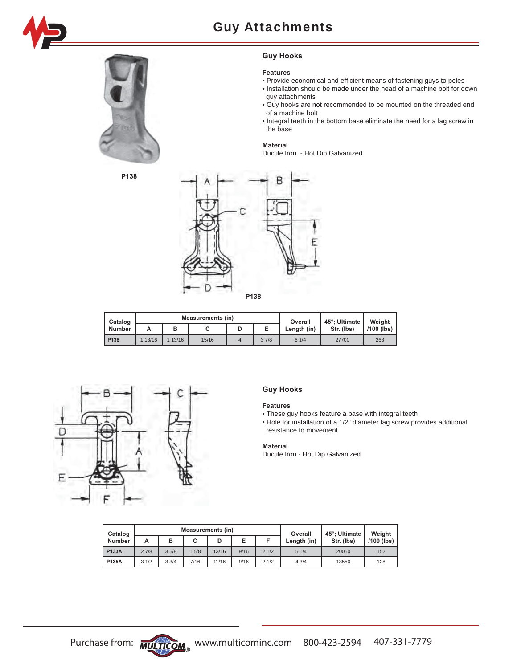



**Guy Hooks**

### **Features**

- Provide economical and efficient means of fastening guys to poles
- Installation should be made under the head of a machine bolt for down guy attachments
- Guy hooks are not recommended to be mounted on the threaded end of a machine bolt
- Integral teeth in the bottom base eliminate the need for a lag screw in the base

#### **Material**

Ductile Iron - Hot Dip Galvanized



| Catalog       |       |       | Measurements (in) | Overall | 45°: Ultimate | Weight     |              |
|---------------|-------|-------|-------------------|---------|---------------|------------|--------------|
| <b>Number</b> | А     | в     | v                 |         | Length (in)   | Str. (Ibs) | $/100$ (lbs) |
| P138          | 13/16 | 13/16 | 15/16             | 37/8    | 61/4          | 27700      | 263          |



### **Guy Hooks**

### **Features**

• These guy hooks feature a base with integral teeth

• Hole for installation of a 1/2" diameter lag screw provides additional resistance to movement

### **Material**

Ductile Iron - Hot Dip Galvanized

| Catalog       |      |      | <b>Measurements (in)</b> |       | Overall | 45°; Ultimate | Weight      |            |              |
|---------------|------|------|--------------------------|-------|---------|---------------|-------------|------------|--------------|
| <b>Number</b> | А    | в    |                          | D     | Е       |               | Length (in) | Str. (Ibs) | $/100$ (lbs) |
| <b>P133A</b>  | 27/8 | 35/8 | 5/8                      | 13/16 | 9/16    | 21/2          | 51/4        | 20050      | 152          |
| P135A         | 31/2 | 33/4 | 7/16                     | 11/16 | 9/16    | 21/2          | 43/4        | 13550      | 128          |

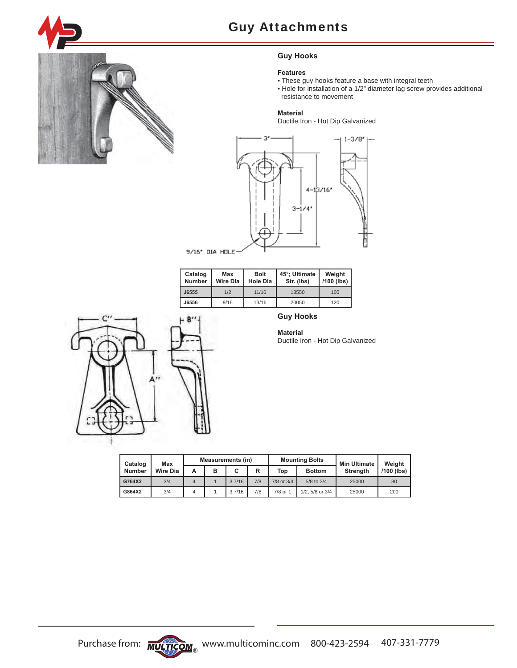

# **Guy Hooks**

### **Features**

- These guy hooks feature a base with integral teeth
- Hole for installation of a 1/2" diameter lag screw provides additional resistance to movement

### **Material**

Ductile Iron - Hot Dip Galvanized



| Catalog<br><b>Number</b> | <b>Max</b><br><b>Wire Dia</b> | <b>Bolt</b><br><b>Hole Dia</b> | 45°; Ultimate<br>Str. (lbs) | Weight<br>/100 (lbs) |
|--------------------------|-------------------------------|--------------------------------|-----------------------------|----------------------|
| J6555                    | 1/2                           | 11/16                          | 13550                       | 105                  |
| J6556                    | 9/16                          | 13/16                          | 20050                       | 120                  |



# **Guy Hooks**

**Material** Ductile Iron - Hot Dip Galvanized

| Catalog       | Max      | <b>Measurements (in)</b> |   |       |                           | <b>Mounting Bolts</b> | <b>Min Ultimate</b>  | Weight          |              |
|---------------|----------|--------------------------|---|-------|---------------------------|-----------------------|----------------------|-----------------|--------------|
| <b>Number</b> | Wire Dia | А                        | B | C     | R<br>Top<br><b>Bottom</b> |                       |                      | <b>Strength</b> | $/100$ (lbs) |
| G764X2        | 3/4      | 4                        |   | 37/16 | 7/8                       | 7/8 or 3/4            | 5/8 to 3/4           | 25000           | 80           |
| G864X2        | 3/4      | 4                        |   | 37/16 | 7/8                       | 7/8 or 1              | $1/2$ , 5/8 or $3/4$ | 25000           | 200          |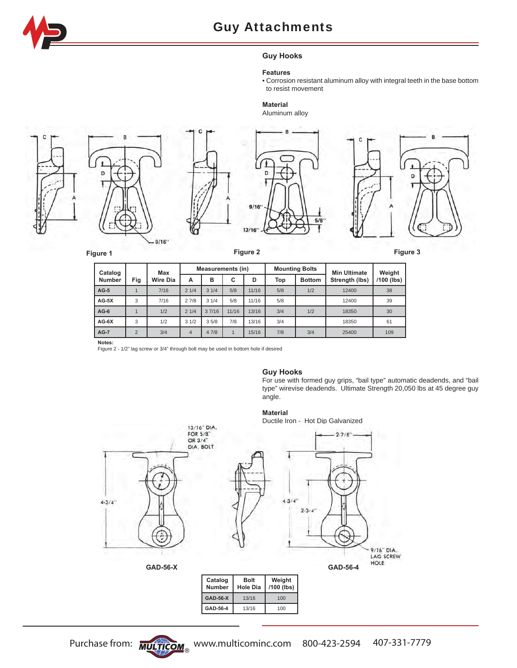

# **Guy Hooks**

### **Features**

• Corrosion resistant aluminum alloy with integral teeth in the base bottom to resist movement

# **Material**

Aluminum alloy









 $5/8$ 

|  | н | н |  |  |
|--|---|---|--|--|
|  |   |   |  |  |
|  |   |   |  |  |
|  |   |   |  |  |

| Catalog       |                | Max             | <b>Measurements (in)</b> |       |       |       |     | <b>Mounting Bolts</b> | <b>Min Ultimate</b> | Weight     |
|---------------|----------------|-----------------|--------------------------|-------|-------|-------|-----|-----------------------|---------------------|------------|
| <b>Number</b> | Fig            | <b>Wire Dia</b> | A                        | B     | С     | D     | Top | <b>Bottom</b>         | Strength (lbs)      | /100 (lbs) |
| $AG-5$        |                | 7/16            | 21/4                     | 31/4  | 5/8   | 11/16 | 5/8 | 1/2                   | 12400               | 38         |
| $AG-5X$       | 3              | 7/16            | 27/8                     | 31/4  | 5/8   | 11/16 | 5/8 |                       | 12400               | 39         |
| $AG-6$        |                | 1/2             | 21/4                     | 37/16 | 11/16 | 13/16 | 3/4 | 1/2                   | 18350               | 30         |
| $AG-6X$       | 3              | 1/2             | 31/2                     | 35/8  | 7/8   | 13/16 | 3/4 |                       | 18350               | 61         |
| $AG-7$        | $\overline{2}$ | 3/4             | $\overline{4}$           | 47/8  |       | 15/16 | 7/8 | 3/4                   | 25400               | 109        |

**Notes:** 

Figure 2 - 1/2" lag screw or 3/4" through bolt may be used in bottom hole if desired

### **Guy Hooks**

For use with formed guy grips, "bail type" automatic deadends, and "bail type" wirevise deadends. Ultimate Strength 20,050 lbs at 45 degree guy angle.

# **Material**

Ductile Iron - Hot Dip Galvanized



**GAD-56-4** 13/16 100